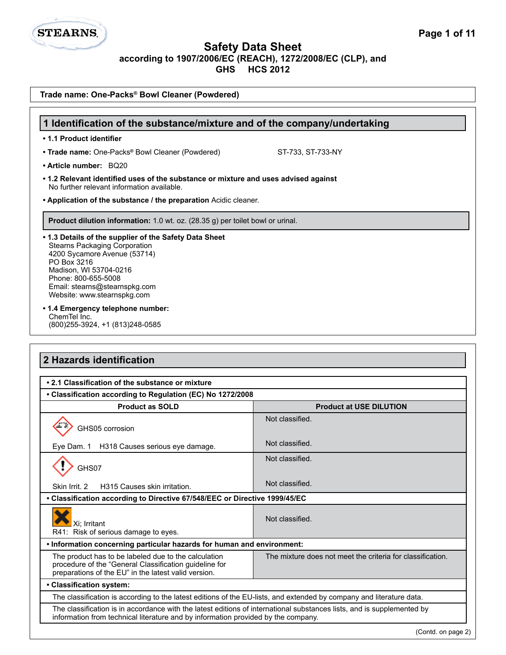**Trade name: One-Packs® Bowl Cleaner (Powdered)**

**STEARNS.** 

| 1 Identification of the substance/mixture and of the company/undertaking                                                                                                                                                                                       |                                                            |
|----------------------------------------------------------------------------------------------------------------------------------------------------------------------------------------------------------------------------------------------------------------|------------------------------------------------------------|
| • 1.1 Product identifier                                                                                                                                                                                                                                       |                                                            |
| • Trade name: One-Packs <sup>®</sup> Bowl Cleaner (Powdered)                                                                                                                                                                                                   | ST-733, ST-733-NY                                          |
| • Article number: BQ20                                                                                                                                                                                                                                         |                                                            |
| • 1.2 Relevant identified uses of the substance or mixture and uses advised against<br>No further relevant information available.                                                                                                                              |                                                            |
| • Application of the substance / the preparation Acidic cleaner.                                                                                                                                                                                               |                                                            |
| Product dilution information: 1.0 wt. oz. (28.35 g) per toilet bowl or urinal.                                                                                                                                                                                 |                                                            |
| • 1.3 Details of the supplier of the Safety Data Sheet<br><b>Stearns Packaging Corporation</b><br>4200 Sycamore Avenue (53714)<br>PO Box 3216<br>Madison, WI 53704-0216<br>Phone: 800-655-5008<br>Email: stearns@stearnspkg.com<br>Website: www.stearnspkg.com |                                                            |
| • 1.4 Emergency telephone number:<br>ChemTel Inc.<br>(800) 255-3924, +1 (813) 248-0585                                                                                                                                                                         |                                                            |
| • 2.1 Classification of the substance or mixture<br>• Classification according to Regulation (EC) No 1272/2008                                                                                                                                                 |                                                            |
| <b>Product as SOLD</b>                                                                                                                                                                                                                                         | <b>Product at USE DILUTION</b>                             |
| GHS05 corrosion                                                                                                                                                                                                                                                | Not classified.                                            |
| Eye Dam. 1 H318 Causes serious eye damage.                                                                                                                                                                                                                     | Not classified.                                            |
| GHS07                                                                                                                                                                                                                                                          | Not classified.                                            |
| Skin Irrit. 2<br>H315 Causes skin irritation.                                                                                                                                                                                                                  | Not classified.                                            |
| • Classification according to Directive 67/548/EEC or Directive 1999/45/EC                                                                                                                                                                                     |                                                            |
| Xi; Irritant<br>R41: Risk of serious damage to eyes.                                                                                                                                                                                                           | Not classified.                                            |
| . Information concerning particular hazards for human and environment:                                                                                                                                                                                         |                                                            |
| The product has to be labeled due to the calculation<br>procedure of the "General Classification guideline for<br>preparations of the EU" in the latest valid version.                                                                                         | The mixture does not meet the criteria for classification. |
| • Classification system:                                                                                                                                                                                                                                       |                                                            |
| The classification is according to the latest editions of the EU-lists, and extended by company and literature data.                                                                                                                                           |                                                            |
| The classification is in accordance with the latest editions of international substances lists, and is supplemented by<br>information from technical literature and by information provided by the company.                                                    |                                                            |
|                                                                                                                                                                                                                                                                |                                                            |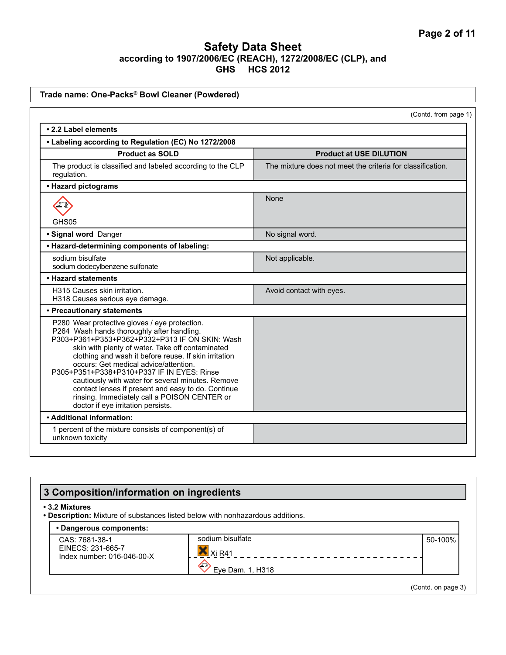| Trade name: One-Packs® Bowl Cleaner (Powdered)                                                                                                                                                                                                                                                                                                                                                                                                                                                                                                     |                                                            |  |
|----------------------------------------------------------------------------------------------------------------------------------------------------------------------------------------------------------------------------------------------------------------------------------------------------------------------------------------------------------------------------------------------------------------------------------------------------------------------------------------------------------------------------------------------------|------------------------------------------------------------|--|
|                                                                                                                                                                                                                                                                                                                                                                                                                                                                                                                                                    | (Contd. from page 1)                                       |  |
| • 2.2 Label elements                                                                                                                                                                                                                                                                                                                                                                                                                                                                                                                               |                                                            |  |
| • Labeling according to Regulation (EC) No 1272/2008                                                                                                                                                                                                                                                                                                                                                                                                                                                                                               |                                                            |  |
| <b>Product as SOLD</b>                                                                                                                                                                                                                                                                                                                                                                                                                                                                                                                             | <b>Product at USE DILUTION</b>                             |  |
| The product is classified and labeled according to the CLP<br>regulation.                                                                                                                                                                                                                                                                                                                                                                                                                                                                          | The mixture does not meet the criteria for classification. |  |
| • Hazard pictograms                                                                                                                                                                                                                                                                                                                                                                                                                                                                                                                                |                                                            |  |
| GHS05                                                                                                                                                                                                                                                                                                                                                                                                                                                                                                                                              | None                                                       |  |
| · Signal word Danger                                                                                                                                                                                                                                                                                                                                                                                                                                                                                                                               | No signal word.                                            |  |
| • Hazard-determining components of labeling:                                                                                                                                                                                                                                                                                                                                                                                                                                                                                                       |                                                            |  |
| sodium bisulfate<br>sodium dodecylbenzene sulfonate                                                                                                                                                                                                                                                                                                                                                                                                                                                                                                | Not applicable.                                            |  |
| • Hazard statements                                                                                                                                                                                                                                                                                                                                                                                                                                                                                                                                |                                                            |  |
| H315 Causes skin irritation.<br>H318 Causes serious eye damage.                                                                                                                                                                                                                                                                                                                                                                                                                                                                                    | Avoid contact with eyes.                                   |  |
| • Precautionary statements                                                                                                                                                                                                                                                                                                                                                                                                                                                                                                                         |                                                            |  |
| P280 Wear protective gloves / eye protection.<br>P264 Wash hands thoroughly after handling.<br>P303+P361+P353+P362+P332+P313 IF ON SKIN: Wash<br>skin with plenty of water. Take off contaminated<br>clothing and wash it before reuse. If skin irritation<br>occurs: Get medical advice/attention.<br>P305+P351+P338+P310+P337 IF IN EYES: Rinse<br>cautiously with water for several minutes. Remove<br>contact lenses if present and easy to do. Continue<br>rinsing. Immediately call a POISON CENTER or<br>doctor if eye irritation persists. |                                                            |  |
| • Additional information:                                                                                                                                                                                                                                                                                                                                                                                                                                                                                                                          |                                                            |  |
| 1 percent of the mixture consists of component(s) of<br>unknown toxicity                                                                                                                                                                                                                                                                                                                                                                                                                                                                           |                                                            |  |

| 3 Composition/information on ingredients |                                                                                |         |
|------------------------------------------|--------------------------------------------------------------------------------|---------|
| • 3.2 Mixtures                           |                                                                                |         |
|                                          | . Description: Mixture of substances listed below with nonhazardous additions. |         |
| • Dangerous components:                  |                                                                                |         |
| CAS: 7681-38-1                           | sodium bisulfate                                                               | 50-100% |
| EINECS: 231-665-7                        | Xi R41                                                                         |         |
| Index number: 016-046-00-X               | Œ                                                                              |         |
|                                          | Eye Dam. 1, H318                                                               |         |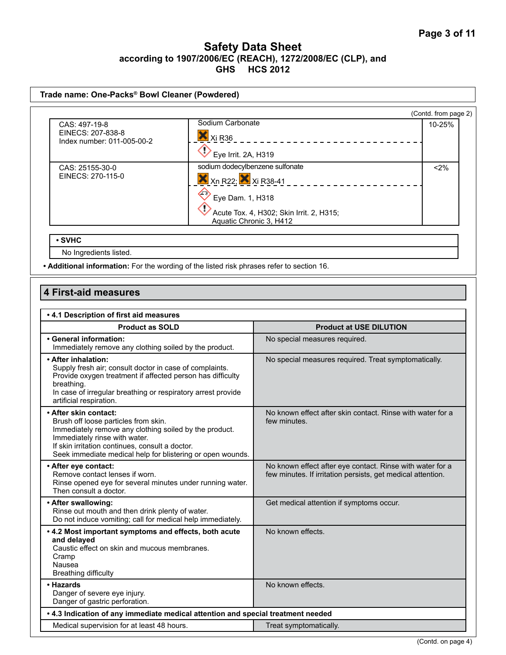|                                                                  |                                                                                         | (Contd. from page 2) |
|------------------------------------------------------------------|-----------------------------------------------------------------------------------------|----------------------|
| CAS: 497-19-8<br>EINECS: 207-838-8<br>Index number: 011-005-00-2 | Sodium Carbonate<br><b>X</b> Xi R36                                                     | 10-25%               |
| CAS: 25155-30-0                                                  | Eye Irrit. 2A, H319<br>sodium dodecylbenzene sulfonate                                  | $< 2\%$              |
| EINECS: 270-115-0                                                | <b>X</b> Xn R22; X Xi R38-41                                                            |                      |
|                                                                  | Eye Dam. 1, H318<br>Acute Tox. 4, H302; Skin Irrit. 2, H315;<br>Aquatic Chronic 3, H412 |                      |

No Ingredients listed.

**• Additional information:** For the wording of the listed risk phrases refer to section 16.

# **4 First-aid measures**

| .4.1 Description of first aid measures                                                                                                                                                                                                                                    |                                                                                                                          |  |
|---------------------------------------------------------------------------------------------------------------------------------------------------------------------------------------------------------------------------------------------------------------------------|--------------------------------------------------------------------------------------------------------------------------|--|
| <b>Product as SOLD</b>                                                                                                                                                                                                                                                    | <b>Product at USE DILUTION</b>                                                                                           |  |
| • General information:<br>Immediately remove any clothing soiled by the product.                                                                                                                                                                                          | No special measures required.                                                                                            |  |
| • After inhalation:<br>Supply fresh air; consult doctor in case of complaints.<br>Provide oxygen treatment if affected person has difficulty<br>breathing.<br>In case of irregular breathing or respiratory arrest provide<br>artificial respiration.                     | No special measures required. Treat symptomatically.                                                                     |  |
| • After skin contact:<br>Brush off loose particles from skin.<br>Immediately remove any clothing soiled by the product.<br>Immediately rinse with water.<br>If skin irritation continues, consult a doctor.<br>Seek immediate medical help for blistering or open wounds. | No known effect after skin contact. Rinse with water for a<br>few minutes.                                               |  |
| • After eye contact:<br>Remove contact lenses if worn.<br>Rinse opened eye for several minutes under running water.<br>Then consult a doctor.                                                                                                                             | No known effect after eye contact. Rinse with water for a<br>few minutes. If irritation persists, get medical attention. |  |
| • After swallowing:<br>Rinse out mouth and then drink plenty of water.<br>Do not induce vomiting; call for medical help immediately.                                                                                                                                      | Get medical attention if symptoms occur.                                                                                 |  |
| . 4.2 Most important symptoms and effects, both acute<br>and delayed<br>Caustic effect on skin and mucous membranes.<br>Cramp<br>Nausea<br><b>Breathing difficulty</b>                                                                                                    | No known effects.                                                                                                        |  |
| • Hazards<br>Danger of severe eye injury.<br>Danger of gastric perforation.                                                                                                                                                                                               | No known effects.                                                                                                        |  |
| . 4.3 Indication of any immediate medical attention and special treatment needed                                                                                                                                                                                          |                                                                                                                          |  |
| Medical supervision for at least 48 hours.                                                                                                                                                                                                                                | Treat symptomatically.                                                                                                   |  |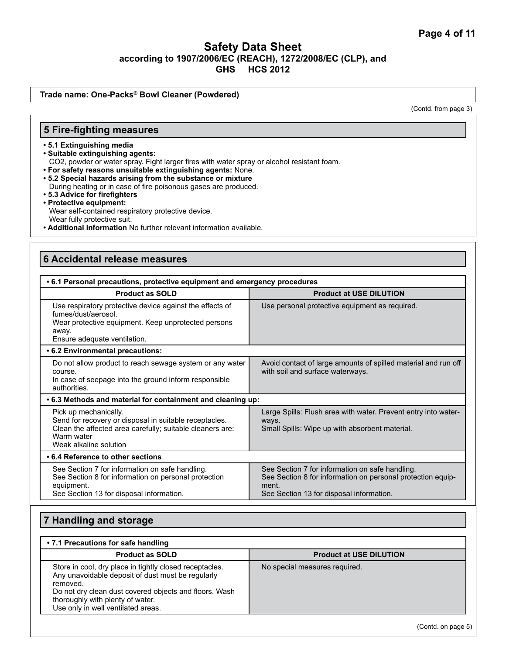#### **Trade name: One-Packs® Bowl Cleaner (Powdered)**

(Contd. from page 3)

#### **5 Fire-fighting measures**

- **5.1 Extinguishing media**
- **Suitable extinguishing agents:**
- CO2, powder or water spray. Fight larger fires with water spray or alcohol resistant foam.
- **For safety reasons unsuitable extinguishing agents:** None.
- **5.2 Special hazards arising from the substance or mixture**
- During heating or in case of fire poisonous gases are produced.
- **5.3 Advice for firefighters • Protective equipment:** Wear self-contained respiratory protective device.
- Wear fully protective suit.

**• Additional information** No further relevant information available.

#### **6 Accidental release measures**

| • 6.1 Personal precautions, protective equipment and emergency procedures                                                                                                            |                                                                                                                                                                     |  |
|--------------------------------------------------------------------------------------------------------------------------------------------------------------------------------------|---------------------------------------------------------------------------------------------------------------------------------------------------------------------|--|
| <b>Product as SOLD</b>                                                                                                                                                               | <b>Product at USE DILUTION</b>                                                                                                                                      |  |
| Use respiratory protective device against the effects of<br>fumes/dust/aerosol.<br>Wear protective equipment. Keep unprotected persons<br>away.<br>Ensure adequate ventilation.      | Use personal protective equipment as required.                                                                                                                      |  |
| • 6.2 Environmental precautions:                                                                                                                                                     |                                                                                                                                                                     |  |
| Do not allow product to reach sewage system or any water<br>course.<br>In case of seepage into the ground inform responsible<br>authorities                                          | Avoid contact of large amounts of spilled material and run off<br>with soil and surface waterways.                                                                  |  |
| • 6.3 Methods and material for containment and cleaning up:                                                                                                                          |                                                                                                                                                                     |  |
| Pick up mechanically.<br>Send for recovery or disposal in suitable receptacles.<br>Clean the affected area carefully; suitable cleaners are:<br>Warm water<br>Weak alkaline solution | Large Spills: Flush area with water. Prevent entry into water-<br>ways.<br>Small Spills: Wipe up with absorbent material.                                           |  |
| • 6.4 Reference to other sections                                                                                                                                                    |                                                                                                                                                                     |  |
| See Section 7 for information on safe handling.<br>See Section 8 for information on personal protection<br>equipment.<br>See Section 13 for disposal information.                    | See Section 7 for information on safe handling.<br>See Section 8 for information on personal protection equip-<br>ment.<br>See Section 13 for disposal information. |  |

## **7 Handling and storage**

#### **• 7.1 Precautions for safe handling**

| <b>Product as SOLD</b>                                                                                                                                                                                                                                       | <b>Product at USE DILUTION</b> |
|--------------------------------------------------------------------------------------------------------------------------------------------------------------------------------------------------------------------------------------------------------------|--------------------------------|
| Store in cool, dry place in tightly closed receptacles.<br>Any unavoidable deposit of dust must be regularly<br>removed.<br>Do not dry clean dust covered objects and floors. Wash<br>thoroughly with plenty of water.<br>Use only in well ventilated areas. | No special measures required.  |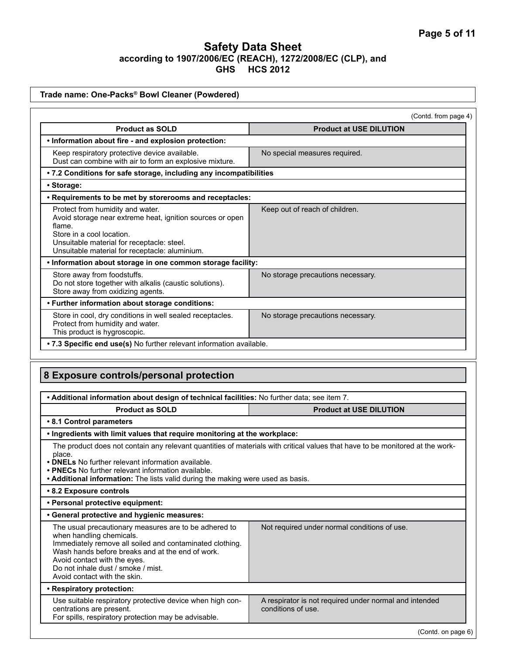| Trade name: One-Packs® Bowl Cleaner (Powdered)                                                                                                                                                                                                                                                          |                                                                                                                               |
|---------------------------------------------------------------------------------------------------------------------------------------------------------------------------------------------------------------------------------------------------------------------------------------------------------|-------------------------------------------------------------------------------------------------------------------------------|
|                                                                                                                                                                                                                                                                                                         | (Contd. from page 4)                                                                                                          |
| <b>Product as SOLD</b>                                                                                                                                                                                                                                                                                  | <b>Product at USE DILUTION</b>                                                                                                |
| . Information about fire - and explosion protection:                                                                                                                                                                                                                                                    |                                                                                                                               |
| Keep respiratory protective device available.<br>Dust can combine with air to form an explosive mixture.                                                                                                                                                                                                | No special measures required.                                                                                                 |
| . 7.2 Conditions for safe storage, including any incompatibilities                                                                                                                                                                                                                                      |                                                                                                                               |
| • Storage:                                                                                                                                                                                                                                                                                              |                                                                                                                               |
| • Requirements to be met by storerooms and receptacles:                                                                                                                                                                                                                                                 |                                                                                                                               |
| Protect from humidity and water.<br>Avoid storage near extreme heat, ignition sources or open<br>flame.<br>Store in a cool location.<br>Unsuitable material for receptacle: steel.<br>Unsuitable material for receptacle: aluminium.                                                                    | Keep out of reach of children.                                                                                                |
| . Information about storage in one common storage facility:                                                                                                                                                                                                                                             |                                                                                                                               |
| Store away from foodstuffs.<br>Do not store together with alkalis (caustic solutions).<br>Store away from oxidizing agents.                                                                                                                                                                             | No storage precautions necessary.                                                                                             |
| • Further information about storage conditions:                                                                                                                                                                                                                                                         |                                                                                                                               |
| Store in cool, dry conditions in well sealed receptacles.<br>Protect from humidity and water.<br>This product is hygroscopic.                                                                                                                                                                           | No storage precautions necessary.                                                                                             |
| . 7.3 Specific end use(s) No further relevant information available.                                                                                                                                                                                                                                    |                                                                                                                               |
|                                                                                                                                                                                                                                                                                                         |                                                                                                                               |
| 8 Exposure controls/personal protection                                                                                                                                                                                                                                                                 |                                                                                                                               |
| . Additional information about design of technical facilities: No further data; see item 7.                                                                                                                                                                                                             |                                                                                                                               |
| <b>Product as SOLD</b>                                                                                                                                                                                                                                                                                  | <b>Product at USE DILUTION</b>                                                                                                |
| • 8.1 Control parameters                                                                                                                                                                                                                                                                                |                                                                                                                               |
| . Ingredients with limit values that require monitoring at the workplace:                                                                                                                                                                                                                               |                                                                                                                               |
| place.<br>• DNELs No further relevant information available.<br>• PNECs No further relevant information available.<br>• Additional information: The lists valid during the making were used as basis.                                                                                                   | The product does not contain any relevant quantities of materials with critical values that have to be monitored at the work- |
| • 8.2 Exposure controls                                                                                                                                                                                                                                                                                 |                                                                                                                               |
| • Personal protective equipment:                                                                                                                                                                                                                                                                        |                                                                                                                               |
| • General protective and hygienic measures:                                                                                                                                                                                                                                                             |                                                                                                                               |
| The usual precautionary measures are to be adhered to<br>when handling chemicals.<br>Immediately remove all soiled and contaminated clothing.<br>Wash hands before breaks and at the end of work.<br>Avoid contact with the eyes.<br>Do not inhale dust / smoke / mist.<br>Avoid contact with the skin. | Not required under normal conditions of use.                                                                                  |
| • Respiratory protection:                                                                                                                                                                                                                                                                               |                                                                                                                               |
| Use suitable respiratory protective device when high con-<br>centrations are present.<br>For spills, respiratory protection may be advisable.                                                                                                                                                           | A respirator is not required under normal and intended<br>conditions of use.                                                  |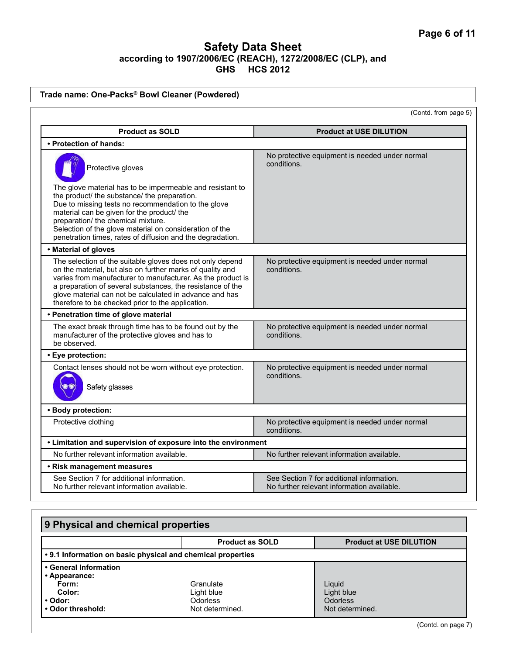| Trade name: One-Packs® Bowl Cleaner (Powdered)                                                                                                                                                                                                                                                                                                                                |                                                                                         |
|-------------------------------------------------------------------------------------------------------------------------------------------------------------------------------------------------------------------------------------------------------------------------------------------------------------------------------------------------------------------------------|-----------------------------------------------------------------------------------------|
|                                                                                                                                                                                                                                                                                                                                                                               | (Contd. from page 5)                                                                    |
| <b>Product as SOLD</b>                                                                                                                                                                                                                                                                                                                                                        | <b>Product at USE DILUTION</b>                                                          |
| • Protection of hands:                                                                                                                                                                                                                                                                                                                                                        |                                                                                         |
| Protective gloves                                                                                                                                                                                                                                                                                                                                                             | No protective equipment is needed under normal<br>conditions.                           |
| The glove material has to be impermeable and resistant to<br>the product/ the substance/ the preparation.<br>Due to missing tests no recommendation to the glove<br>material can be given for the product/ the<br>preparation/ the chemical mixture.<br>Selection of the glove material on consideration of the<br>penetration times, rates of diffusion and the degradation. |                                                                                         |
| • Material of gloves                                                                                                                                                                                                                                                                                                                                                          |                                                                                         |
| The selection of the suitable gloves does not only depend<br>on the material, but also on further marks of quality and<br>varies from manufacturer to manufacturer. As the product is<br>a preparation of several substances, the resistance of the<br>glove material can not be calculated in advance and has<br>therefore to be checked prior to the application.           | No protective equipment is needed under normal<br>conditions.                           |
| • Penetration time of glove material                                                                                                                                                                                                                                                                                                                                          |                                                                                         |
| The exact break through time has to be found out by the<br>manufacturer of the protective gloves and has to<br>be observed.                                                                                                                                                                                                                                                   | No protective equipment is needed under normal<br>conditions.                           |
| • Eye protection:                                                                                                                                                                                                                                                                                                                                                             |                                                                                         |
| Contact lenses should not be worn without eye protection.<br>Safety glasses                                                                                                                                                                                                                                                                                                   | No protective equipment is needed under normal<br>conditions.                           |
| · Body protection:                                                                                                                                                                                                                                                                                                                                                            |                                                                                         |
| Protective clothing                                                                                                                                                                                                                                                                                                                                                           | No protective equipment is needed under normal<br>conditions.                           |
| • Limitation and supervision of exposure into the environment                                                                                                                                                                                                                                                                                                                 |                                                                                         |
| No further relevant information available.                                                                                                                                                                                                                                                                                                                                    | No further relevant information available.                                              |
| • Risk management measures                                                                                                                                                                                                                                                                                                                                                    |                                                                                         |
| See Section 7 for additional information.<br>No further relevant information available.                                                                                                                                                                                                                                                                                       | See Section 7 for additional information.<br>No further relevant information available. |

| 9 Physical and chemical properties                                                        |                                                        |                                                            |
|-------------------------------------------------------------------------------------------|--------------------------------------------------------|------------------------------------------------------------|
|                                                                                           | <b>Product as SOLD</b>                                 | <b>Product at USE DILUTION</b>                             |
| .9.1 Information on basic physical and chemical properties                                |                                                        |                                                            |
| • General Information<br>• Appearance:<br>Form:<br>Color:<br>∙ Odor:<br>• Odor threshold: | Granulate<br>Light blue<br>Odorless<br>Not determined. | Liauid<br>Light blue<br><b>Odorless</b><br>Not determined. |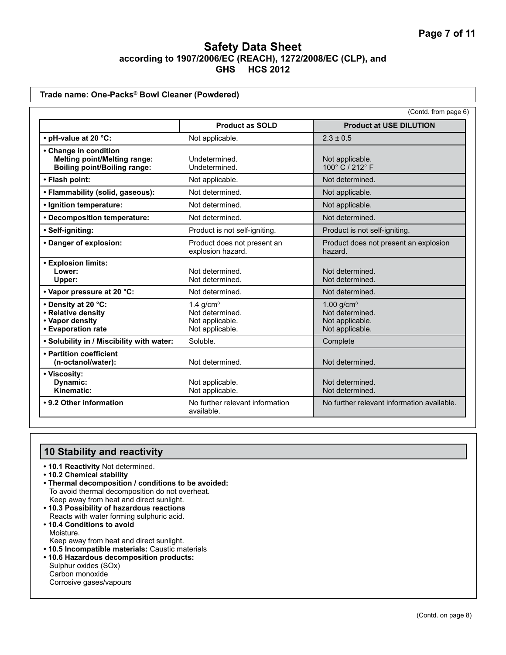#### **Trade name: One-Packs® Bowl Cleaner (Powdered)**

|                                                                                                     |                                                                      | (Contd. from page 6)                                                              |
|-----------------------------------------------------------------------------------------------------|----------------------------------------------------------------------|-----------------------------------------------------------------------------------|
|                                                                                                     | <b>Product as SOLD</b>                                               | <b>Product at USE DILUTION</b>                                                    |
| • pH-value at 20 °C:                                                                                | Not applicable.                                                      | $2.3 \pm 0.5$                                                                     |
| • Change in condition<br><b>Melting point/Melting range:</b><br><b>Boiling point/Boiling range:</b> | Undetermined.<br>Undetermined.                                       | Not applicable.<br>100° C / 212° F                                                |
| • Flash point:                                                                                      | Not applicable.                                                      | Not determined.                                                                   |
| • Flammability (solid, gaseous):                                                                    | Not determined.                                                      | Not applicable.                                                                   |
| · Ignition temperature:                                                                             | Not determined.                                                      | Not applicable.                                                                   |
| • Decomposition temperature:                                                                        | Not determined.                                                      | Not determined.                                                                   |
| • Self-igniting:                                                                                    | Product is not self-igniting.                                        | Product is not self-igniting.                                                     |
| • Danger of explosion:                                                                              | Product does not present an<br>explosion hazard.                     | Product does not present an explosion<br>hazard.                                  |
| • Explosion limits:<br>Lower:<br>Upper:                                                             | Not determined.<br>Not determined.                                   | Not determined.<br>Not determined.                                                |
| • Vapor pressure at 20 °C:                                                                          | Not determined.                                                      | Not determined.                                                                   |
| • Density at 20 °C:<br>• Relative density<br>• Vapor density<br>• Evaporation rate                  | 1.4 $g/cm3$<br>Not determined.<br>Not applicable.<br>Not applicable. | $1.00$ g/cm <sup>3</sup><br>Not determined.<br>Not applicable.<br>Not applicable. |
| . Solubility in / Miscibility with water:                                                           | Soluble.                                                             | Complete                                                                          |
| • Partition coefficient<br>(n-octanol/water):                                                       | Not determined.                                                      | Not determined.                                                                   |
| • Viscosity:<br>Dynamic:<br>Kinematic:                                                              | Not applicable.<br>Not applicable.                                   | Not determined.<br>Not determined.                                                |
| • 9.2 Other information                                                                             | No further relevant information<br>available.                        | No further relevant information available.                                        |

### **10 Stability and reactivity**

- **10.1 Reactivity** Not determined.
- **10.2 Chemical stability**
- **Thermal decomposition / conditions to be avoided:** To avoid thermal decomposition do not overheat. Keep away from heat and direct sunlight.
- **10.3 Possibility of hazardous reactions** Reacts with water forming sulphuric acid.
- **10.4 Conditions to avoid**  Moisture. Keep away from heat and direct sunlight.
- **10.5 Incompatible materials:** Caustic materials
- **10.6 Hazardous decomposition products:**  Sulphur oxides (SOx) Carbon monoxide Corrosive gases/vapours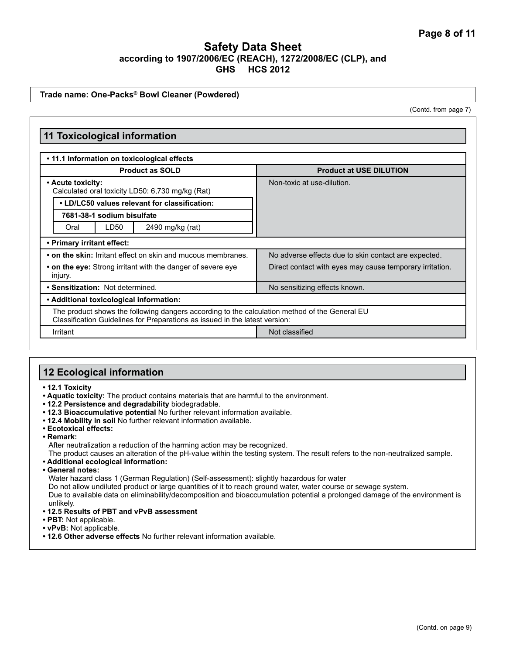#### **Trade name: One-Packs® Bowl Cleaner (Powdered)**

(Contd. from page 7)

|                                                                        |                            | • 11.1 Information on toxicological effects                                                                                                                                  |                                                          |  |
|------------------------------------------------------------------------|----------------------------|------------------------------------------------------------------------------------------------------------------------------------------------------------------------------|----------------------------------------------------------|--|
| <b>Product as SOLD</b>                                                 |                            |                                                                                                                                                                              | <b>Product at USE DILUTION</b>                           |  |
| • Acute toxicity:<br>Calculated oral toxicity LD50: 6,730 mg/kg (Rat)  |                            |                                                                                                                                                                              | Non-toxic at use-dilution.                               |  |
|                                                                        |                            | . LD/LC50 values relevant for classification:                                                                                                                                |                                                          |  |
|                                                                        | 7681-38-1 sodium bisulfate |                                                                                                                                                                              |                                                          |  |
| Oral                                                                   | LD50                       | 2490 mg/kg (rat)                                                                                                                                                             |                                                          |  |
| • Primary irritant effect:                                             |                            |                                                                                                                                                                              |                                                          |  |
| • on the skin: Irritant effect on skin and mucous membranes.           |                            |                                                                                                                                                                              | No adverse effects due to skin contact are expected.     |  |
| • on the eye: Strong irritant with the danger of severe eye<br>injury. |                            |                                                                                                                                                                              | Direct contact with eyes may cause temporary irritation. |  |
| • Sensitization: Not determined.                                       |                            |                                                                                                                                                                              | No sensitizing effects known.                            |  |
|                                                                        |                            | • Additional toxicological information:                                                                                                                                      |                                                          |  |
|                                                                        |                            | The product shows the following dangers according to the calculation method of the General EU<br>Classification Guidelines for Preparations as issued in the latest version: |                                                          |  |
| Irritant                                                               |                            | Not classified                                                                                                                                                               |                                                          |  |

## **12 Ecological information**

- **12.1 Toxicity**
- **Aquatic toxicity:** The product contains materials that are harmful to the environment.
- **12.2 Persistence and degradability** biodegradable.
- **12.3 Bioaccumulative potential** No further relevant information available.
- **12.4 Mobility in soil** No further relevant information available.
- **Ecotoxical effects:**
- **Remark:**

After neutralization a reduction of the harming action may be recognized.

The product causes an alteration of the pH-value within the testing system. The result refers to the non-neutralized sample.

- **Additional ecological information:**
- **General notes:**

Water hazard class 1 (German Regulation) (Self-assessment): slightly hazardous for water

Do not allow undiluted product or large quantities of it to reach ground water, water course or sewage system. Due to available data on eliminability/decomposition and bioaccumulation potential a prolonged damage of the environment is unlikely.

- **12.5 Results of PBT and vPvB assessment**
- **PBT:** Not applicable.
- **vPvB:** Not applicable.

**• 12.6 Other adverse effects** No further relevant information available.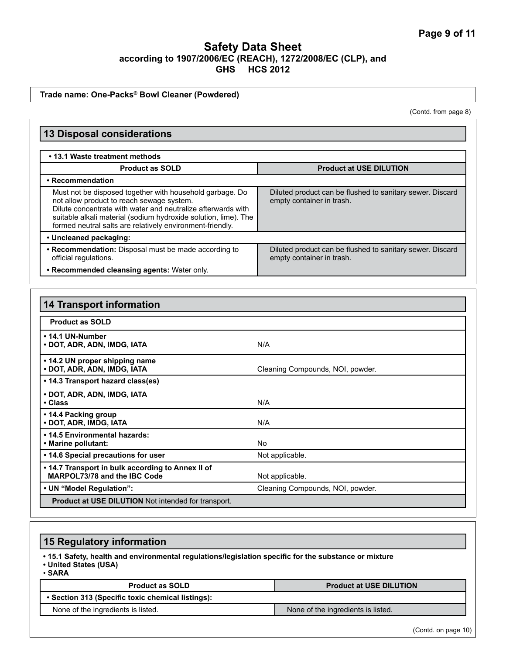**Trade name: One-Packs® Bowl Cleaner (Powdered)**

(Contd. from page 8)

| <b>13 Disposal considerations</b>                                                                                                                                                                                                                                                                     |                                                                                        |  |  |
|-------------------------------------------------------------------------------------------------------------------------------------------------------------------------------------------------------------------------------------------------------------------------------------------------------|----------------------------------------------------------------------------------------|--|--|
| • 13.1 Waste treatment methods                                                                                                                                                                                                                                                                        |                                                                                        |  |  |
| <b>Product as SOLD</b>                                                                                                                                                                                                                                                                                | <b>Product at USE DILUTION</b>                                                         |  |  |
| • Recommendation                                                                                                                                                                                                                                                                                      |                                                                                        |  |  |
| Must not be disposed together with household garbage. Do<br>not allow product to reach sewage system.<br>Dilute concentrate with water and neutralize afterwards with<br>suitable alkali material (sodium hydroxide solution, lime). The<br>formed neutral salts are relatively environment-friendly. | Diluted product can be flushed to sanitary sewer. Discard<br>empty container in trash. |  |  |
| • Uncleaned packaging:                                                                                                                                                                                                                                                                                |                                                                                        |  |  |
| • Recommendation: Disposal must be made according to<br>official regulations.                                                                                                                                                                                                                         | Diluted product can be flushed to sanitary sewer. Discard<br>empty container in trash. |  |  |
| • Recommended cleansing agents: Water only.                                                                                                                                                                                                                                                           |                                                                                        |  |  |

| 14 Transport information                                                          |                                  |  |
|-----------------------------------------------------------------------------------|----------------------------------|--|
| <b>Product as SOLD</b>                                                            |                                  |  |
| • 14.1 UN-Number<br>• DOT, ADR, ADN, IMDG, IATA                                   | N/A                              |  |
| • 14.2 UN proper shipping name<br>• DOT, ADR, ADN, IMDG, IATA                     | Cleaning Compounds, NOI, powder. |  |
| • 14.3 Transport hazard class(es)                                                 |                                  |  |
| • DOT, ADR, ADN, IMDG, IATA<br>$\cdot$ Class                                      | N/A                              |  |
| • 14.4 Packing group<br>• DOT, ADR, IMDG, IATA                                    | N/A                              |  |
| • 14.5 Environmental hazards:<br>• Marine pollutant:                              | No.                              |  |
| • 14.6 Special precautions for user                                               | Not applicable.                  |  |
| • 14.7 Transport in bulk according to Annex II of<br>MARPOL73/78 and the IBC Code | Not applicable.                  |  |
| • UN "Model Regulation":                                                          | Cleaning Compounds, NOI, powder. |  |
| <b>Product at USE DILUTION</b> Not intended for transport.                        |                                  |  |

# **15 Regulatory information**

**• 15.1 Safety, health and environmental regulations/legislation specific for the substance or mixture**

**• United States (USA)**

• **SARA**

| <b>Product as SOLD</b>                            | <b>Product at USE DILUTION</b>     |
|---------------------------------------------------|------------------------------------|
| • Section 313 (Specific toxic chemical listings): |                                    |
| None of the ingredients is listed.                | None of the ingredients is listed. |
|                                                   |                                    |

(Contd. on page 10)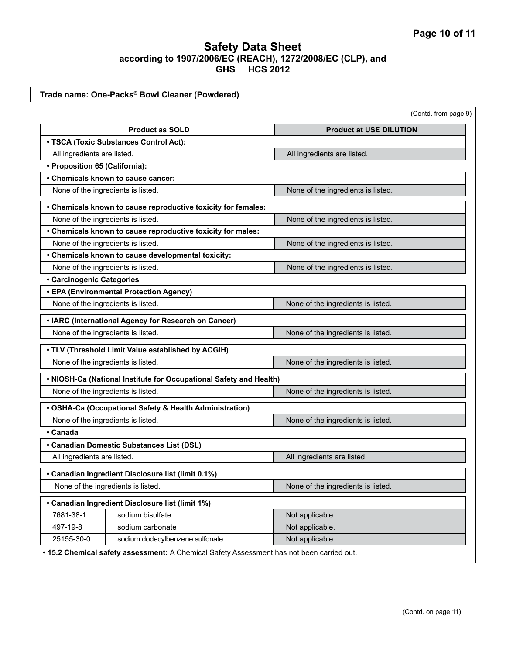|                             | Trade name: One-Packs® Bowl Cleaner (Powdered)                                            |                                    |  |  |
|-----------------------------|-------------------------------------------------------------------------------------------|------------------------------------|--|--|
|                             |                                                                                           | (Contd. from page 9)               |  |  |
|                             | <b>Product as SOLD</b>                                                                    | <b>Product at USE DILUTION</b>     |  |  |
|                             | • TSCA (Toxic Substances Control Act):                                                    |                                    |  |  |
| All ingredients are listed. |                                                                                           | All ingredients are listed.        |  |  |
|                             | • Proposition 65 (California):                                                            |                                    |  |  |
|                             | • Chemicals known to cause cancer:                                                        |                                    |  |  |
|                             | None of the ingredients is listed.                                                        | None of the ingredients is listed. |  |  |
|                             | • Chemicals known to cause reproductive toxicity for females:                             |                                    |  |  |
|                             | None of the ingredients is listed.                                                        | None of the ingredients is listed. |  |  |
|                             | • Chemicals known to cause reproductive toxicity for males:                               |                                    |  |  |
|                             | None of the ingredients is listed.                                                        | None of the ingredients is listed. |  |  |
|                             | • Chemicals known to cause developmental toxicity:                                        |                                    |  |  |
|                             | None of the ingredients is listed.                                                        | None of the ingredients is listed. |  |  |
| • Carcinogenic Categories   |                                                                                           |                                    |  |  |
|                             | • EPA (Environmental Protection Agency)                                                   |                                    |  |  |
|                             | None of the ingredients is listed.                                                        | None of the ingredients is listed. |  |  |
|                             | • IARC (International Agency for Research on Cancer)                                      |                                    |  |  |
|                             | None of the ingredients is listed.                                                        | None of the ingredients is listed. |  |  |
|                             | . TLV (Threshold Limit Value established by ACGIH)                                        |                                    |  |  |
|                             | None of the ingredients is listed.                                                        | None of the ingredients is listed. |  |  |
|                             | . NIOSH-Ca (National Institute for Occupational Safety and Health)                        |                                    |  |  |
|                             | None of the ingredients is listed.                                                        | None of the ingredients is listed. |  |  |
|                             | • OSHA-Ca (Occupational Safety & Health Administration)                                   |                                    |  |  |
|                             | None of the ingredients is listed.                                                        | None of the ingredients is listed. |  |  |
| • Canada                    |                                                                                           |                                    |  |  |
|                             | • Canadian Domestic Substances List (DSL)                                                 |                                    |  |  |
| All ingredients are listed. |                                                                                           | All ingredients are listed         |  |  |
|                             | • Canadian Ingredient Disclosure list (limit 0.1%)                                        |                                    |  |  |
|                             | None of the ingredients is listed.                                                        | None of the ingredients is listed. |  |  |
|                             | • Canadian Ingredient Disclosure list (limit 1%)                                          |                                    |  |  |
| 7681-38-1                   | sodium bisulfate                                                                          | Not applicable.                    |  |  |
| 497-19-8                    | sodium carbonate                                                                          | Not applicable.                    |  |  |
| 25155-30-0                  | sodium dodecylbenzene sulfonate                                                           | Not applicable.                    |  |  |
|                             | . 15.2 Chemical safety assessment: A Chemical Safety Assessment has not been carried out. |                                    |  |  |